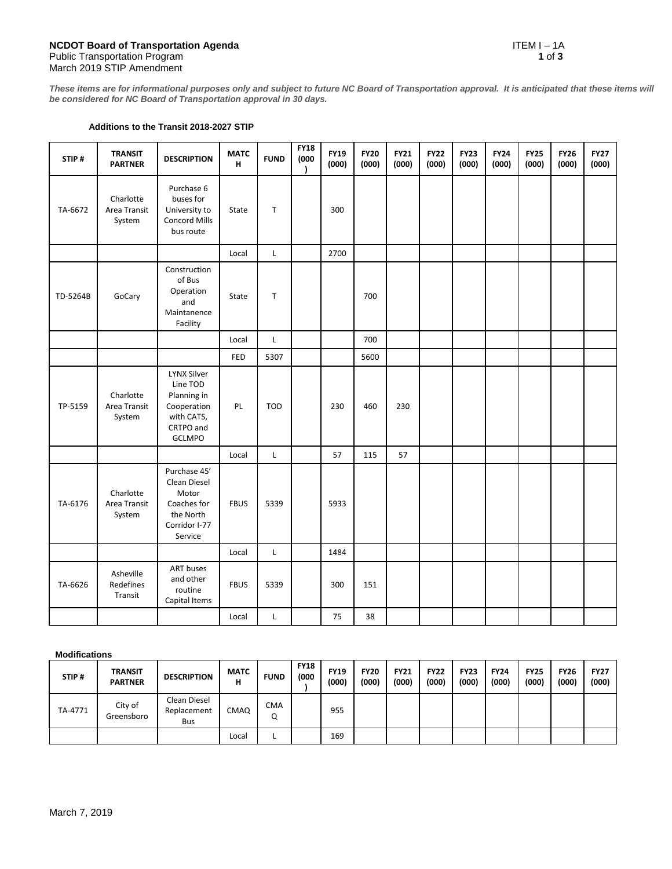*These items are for informational purposes only and subject to future NC Board of Transportation approval. It is anticipated that these items will be considered for NC Board of Transportation approval in 30 days.*

## **Additions to the Transit 2018-2027 STIP**

| STIP#    | <b>TRANSIT</b><br><b>PARTNER</b>    | <b>DESCRIPTION</b>                                                                                       | <b>MATC</b><br>H | <b>FUND</b>  | <b>FY18</b><br>(000)<br>$\lambda$ | <b>FY19</b><br>(000) | <b>FY20</b><br>(000) | <b>FY21</b><br>(000) | <b>FY22</b><br>(000) | <b>FY23</b><br>(000) | <b>FY24</b><br>(000) | <b>FY25</b><br>(000) | <b>FY26</b><br>(000) | <b>FY27</b><br>(000) |
|----------|-------------------------------------|----------------------------------------------------------------------------------------------------------|------------------|--------------|-----------------------------------|----------------------|----------------------|----------------------|----------------------|----------------------|----------------------|----------------------|----------------------|----------------------|
| TA-6672  | Charlotte<br>Area Transit<br>System | Purchase 6<br>buses for<br>University to<br><b>Concord Mills</b><br>bus route                            | State            | T            |                                   | 300                  |                      |                      |                      |                      |                      |                      |                      |                      |
|          |                                     |                                                                                                          | Local            | L            |                                   | 2700                 |                      |                      |                      |                      |                      |                      |                      |                      |
| TD-5264B | GoCary                              | Construction<br>of Bus<br>Operation<br>and<br>Maintanence<br>Facility                                    | State            | T            |                                   |                      | 700                  |                      |                      |                      |                      |                      |                      |                      |
|          |                                     |                                                                                                          | Local            | $\mathsf{L}$ |                                   |                      | 700                  |                      |                      |                      |                      |                      |                      |                      |
|          |                                     |                                                                                                          | <b>FED</b>       | 5307         |                                   |                      | 5600                 |                      |                      |                      |                      |                      |                      |                      |
| TP-5159  | Charlotte<br>Area Transit<br>System | <b>LYNX Silver</b><br>Line TOD<br>Planning in<br>Cooperation<br>with CATS,<br>CRTPO and<br><b>GCLMPO</b> | PL               | <b>TOD</b>   |                                   | 230                  | 460                  | 230                  |                      |                      |                      |                      |                      |                      |
|          |                                     |                                                                                                          | Local            | L            |                                   | 57                   | 115                  | 57                   |                      |                      |                      |                      |                      |                      |
| TA-6176  | Charlotte<br>Area Transit<br>System | Purchase 45'<br>Clean Diesel<br>Motor<br>Coaches for<br>the North<br>Corridor I-77<br>Service            | <b>FBUS</b>      | 5339         |                                   | 5933                 |                      |                      |                      |                      |                      |                      |                      |                      |
|          |                                     |                                                                                                          | Local            | L            |                                   | 1484                 |                      |                      |                      |                      |                      |                      |                      |                      |
| TA-6626  | Asheville<br>Redefines<br>Transit   | <b>ART</b> buses<br>and other<br>routine<br>Capital Items                                                | <b>FBUS</b>      | 5339         |                                   | 300                  | 151                  |                      |                      |                      |                      |                      |                      |                      |
|          |                                     |                                                                                                          | Local            | L            |                                   | 75                   | 38                   |                      |                      |                      |                      |                      |                      |                      |

## **Modifications**

| STIP#   | <b>TRANSIT</b><br><b>PARTNER</b> | <b>DESCRIPTION</b>                 | <b>MATC</b><br>н | <b>FUND</b> | <b>FY18</b><br>(000 | <b>FY19</b><br>(000) | <b>FY20</b><br>(000) | <b>FY21</b><br>(000) | <b>FY22</b><br>(000) | <b>FY23</b><br>(000) | <b>FY24</b><br>(000) | <b>FY25</b><br>(000) | <b>FY26</b><br>(000) | <b>FY27</b><br>(000) |
|---------|----------------------------------|------------------------------------|------------------|-------------|---------------------|----------------------|----------------------|----------------------|----------------------|----------------------|----------------------|----------------------|----------------------|----------------------|
| TA-4771 | City of<br>Greensboro            | Clean Diesel<br>Replacement<br>Bus | CMAQ             | CMA<br>Q    |                     | 955                  |                      |                      |                      |                      |                      |                      |                      |                      |
|         |                                  |                                    | Local            |             |                     | 169                  |                      |                      |                      |                      |                      |                      |                      |                      |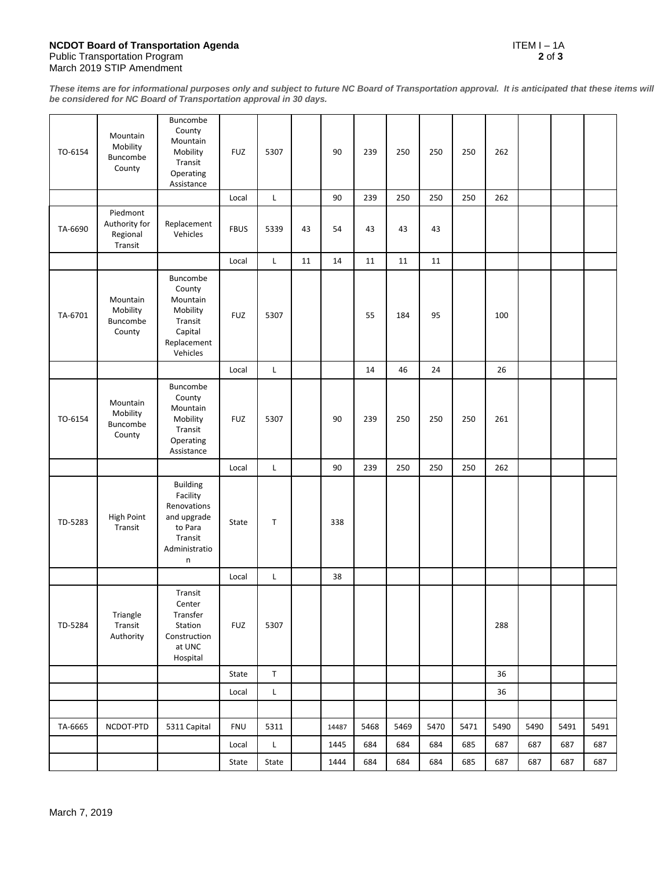## **NCDOT Board of Transportation Agenda** ITEM I – 1A Public Transportation Program **2** of **3** March 2019 STIP Amendment

*These items are for informational purposes only and subject to future NC Board of Transportation approval. It is anticipated that these items will be considered for NC Board of Transportation approval in 30 days.*

| TO-6154 | Mountain<br>Mobility<br>Buncombe<br>County       | Buncombe<br>County<br>Mountain<br>Mobility<br>Transit<br>Operating<br>Assistance               | <b>FUZ</b>  | 5307        |    | 90    | 239  | 250  | 250  | 250  | 262  |      |      |      |
|---------|--------------------------------------------------|------------------------------------------------------------------------------------------------|-------------|-------------|----|-------|------|------|------|------|------|------|------|------|
|         |                                                  |                                                                                                | Local       | L           |    | 90    | 239  | 250  | 250  | 250  | 262  |      |      |      |
| TA-6690 | Piedmont<br>Authority for<br>Regional<br>Transit | Replacement<br>Vehicles                                                                        | <b>FBUS</b> | 5339        | 43 | 54    | 43   | 43   | 43   |      |      |      |      |      |
|         |                                                  |                                                                                                | Local       | $\mathsf L$ | 11 | 14    | 11   | 11   | 11   |      |      |      |      |      |
| TA-6701 | Mountain<br>Mobility<br>Buncombe<br>County       | Buncombe<br>County<br>Mountain<br>Mobility<br>Transit<br>Capital<br>Replacement<br>Vehicles    | <b>FUZ</b>  | 5307        |    |       | 55   | 184  | 95   |      | 100  |      |      |      |
|         |                                                  |                                                                                                | Local       | $\mathsf L$ |    |       | 14   | 46   | 24   |      | 26   |      |      |      |
| TO-6154 | Mountain<br>Mobility<br>Buncombe<br>County       | Buncombe<br>County<br>Mountain<br>Mobility<br>Transit<br>Operating<br>Assistance               | <b>FUZ</b>  | 5307        |    | 90    | 239  | 250  | 250  | 250  | 261  |      |      |      |
|         |                                                  |                                                                                                | Local       | $\mathsf L$ |    | 90    | 239  | 250  | 250  | 250  | 262  |      |      |      |
| TD-5283 | <b>High Point</b><br>Transit                     | Building<br>Facility<br>Renovations<br>and upgrade<br>to Para<br>Transit<br>Administratio<br>n | State       | $\mathsf T$ |    | 338   |      |      |      |      |      |      |      |      |
|         |                                                  |                                                                                                | Local       | L           |    | 38    |      |      |      |      |      |      |      |      |
| TD-5284 | Triangle<br>Transit<br>Authority                 | Transit<br>Center<br>Transfer<br>Station<br>Construction<br>at UNC<br>Hospital                 | <b>FUZ</b>  | 5307        |    |       |      |      |      |      | 288  |      |      |      |
|         |                                                  |                                                                                                | State       | $\sf T$     |    |       |      |      |      |      | 36   |      |      |      |
|         |                                                  |                                                                                                | Local       | L           |    |       |      |      |      |      | 36   |      |      |      |
|         |                                                  |                                                                                                |             |             |    |       |      |      |      |      |      |      |      |      |
| TA-6665 | NCDOT-PTD                                        | 5311 Capital                                                                                   | <b>FNU</b>  | 5311        |    | 14487 | 5468 | 5469 | 5470 | 5471 | 5490 | 5490 | 5491 | 5491 |
|         |                                                  |                                                                                                | Local       | L           |    | 1445  | 684  | 684  | 684  | 685  | 687  | 687  | 687  | 687  |
|         |                                                  |                                                                                                | State       | State       |    | 1444  | 684  | 684  | 684  | 685  | 687  | 687  | 687  | 687  |